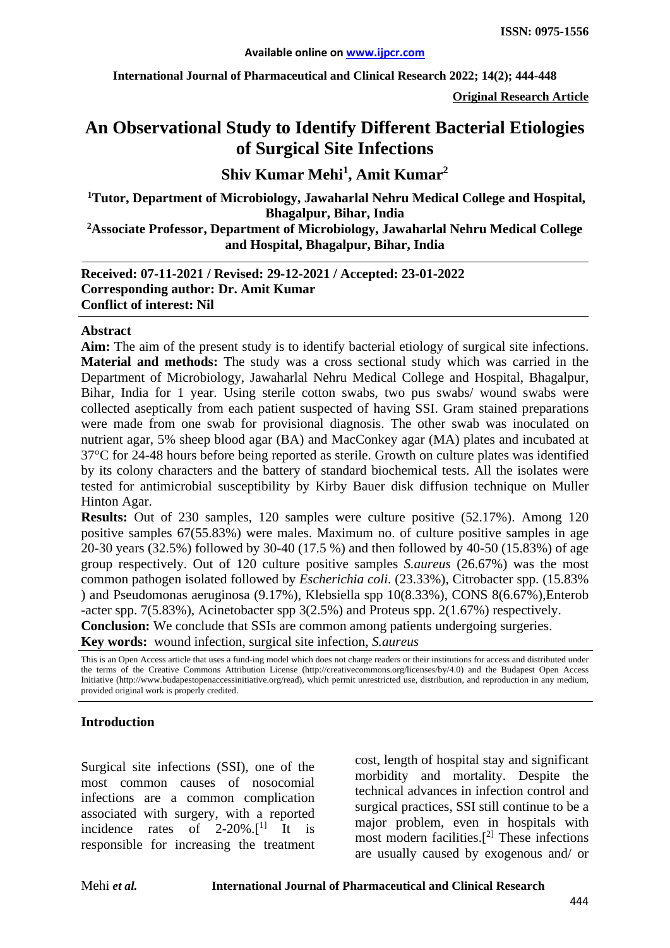**International Journal of Pharmaceutical and Clinical Research 2022; 14(2); 444-448**

**Original Research Article**

# **An Observational Study to Identify Different Bacterial Etiologies of Surgical Site Infections**

# **Shiv Kumar Mehi<sup>1</sup> , Amit Kumar2**

**1 Tutor, Department of Microbiology, Jawaharlal Nehru Medical College and Hospital, Bhagalpur, Bihar, India**

**2 Associate Professor, Department of Microbiology, Jawaharlal Nehru Medical College and Hospital, Bhagalpur, Bihar, India**

**Received: 07-11-2021 / Revised: 29-12-2021 / Accepted: 23-01-2022 Corresponding author: Dr. Amit Kumar Conflict of interest: Nil**

#### **Abstract**

**Aim:** The aim of the present study is to identify bacterial etiology of surgical site infections. **Material and methods:** The study was a cross sectional study which was carried in the Department of Microbiology, Jawaharlal Nehru Medical College and Hospital, Bhagalpur, Bihar, India for 1 year. Using sterile cotton swabs, two pus swabs/ wound swabs were collected aseptically from each patient suspected of having SSI. Gram stained preparations were made from one swab for provisional diagnosis. The other swab was inoculated on nutrient agar, 5% sheep blood agar (BA) and MacConkey agar (MA) plates and incubated at 37°C for 24-48 hours before being reported as sterile. Growth on culture plates was identified by its colony characters and the battery of standard biochemical tests. All the isolates were tested for antimicrobial susceptibility by Kirby Bauer disk diffusion technique on Muller Hinton Agar.

**Results:** Out of 230 samples, 120 samples were culture positive (52.17%). Among 120 positive samples 67(55.83%) were males. Maximum no. of culture positive samples in age 20-30 years (32.5%) followed by 30-40 (17.5 %) and then followed by 40-50 (15.83%) of age group respectively. Out of 120 culture positive samples *S.aureus* (26.67%) was the most common pathogen isolated followed by *Escherichia coli*. (23.33%), Citrobacter spp. (15.83% ) and Pseudomonas aeruginosa (9.17%), Klebsiella spp 10(8.33%), CONS 8(6.67%),Enterob -acter spp. 7(5.83%), Acinetobacter spp 3(2.5%) and Proteus spp. 2(1.67%) respectively. **Conclusion:** We conclude that SSIs are common among patients undergoing surgeries.

**Key words:** wound infection, surgical site infection, *S.aureus*

This is an Open Access article that uses a fund-ing model which does not charge readers or their institutions for access and distributed under the terms of the Creative Commons Attribution License (http://creativecommons.org/licenses/by/4.0) and the Budapest Open Access Initiative (http://www.budapestopenaccessinitiative.org/read), which permit unrestricted use, distribution, and reproduction in any medium, provided original work is properly credited.

#### **Introduction**

Surgical site infections (SSI), one of the most common causes of nosocomial infections are a common complication associated with surgery, with a reported incidence rates of  $2-20\%$ .<sup>[1]</sup> It is responsible for increasing the treatment cost, length of hospital stay and significant morbidity and mortality. Despite the technical advances in infection control and surgical practices, SSI still continue to be a major problem, even in hospitals with most modern facilities. $[<sup>2</sup>]$  These infections are usually caused by exogenous and/ or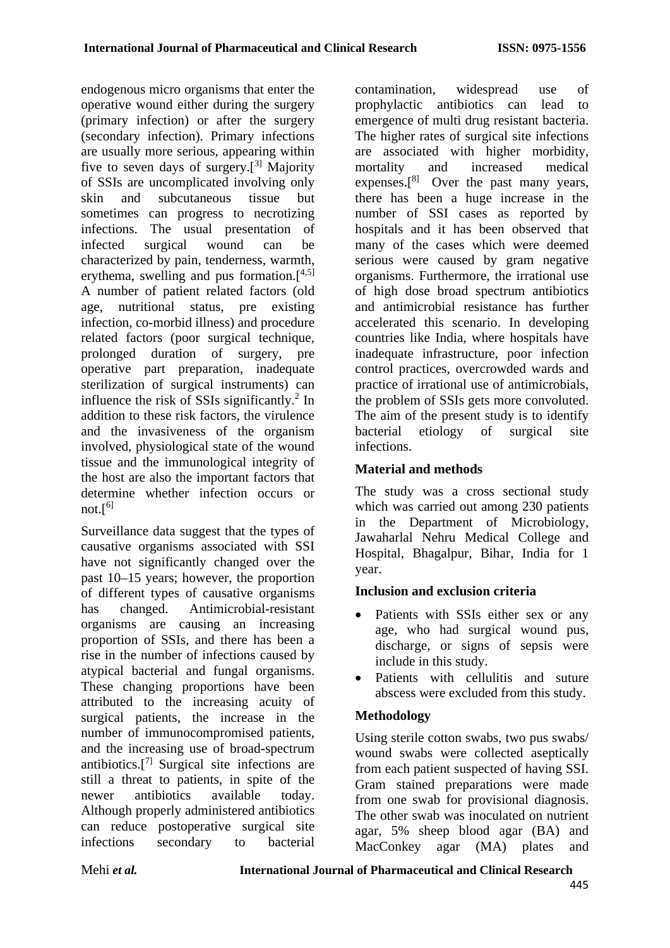endogenous micro organisms that enter the operative wound either during the surgery (primary infection) or after the surgery (secondary infection). Primary infections are usually more serious, appearing within five to seven days of surgery.[ 3] Majority of SSIs are uncomplicated involving only skin and subcutaneous tissue but sometimes can progress to necrotizing infections. The usual presentation of infected surgical wound can be characterized by pain, tenderness, warmth, erythema, swelling and pus formation.<sup>[4,5]</sup> A number of patient related factors (old age, nutritional status, pre existing age, nutritional status, infection, co-morbid illness) and procedure related factors (poor surgical technique, prolonged duration of surgery, pre operative part preparation, inadequate sterilization of surgical instruments) can influence the risk of SSIs significantly.<sup>2</sup> In addition to these risk factors, the virulence and the invasiveness of the organism involved, physiological state of the wound tissue and the immunological integrity of the host are also the important factors that determine whether infection occurs or not.[ 6]

Surveillance data suggest that the types of causative organisms associated with SSI have not significantly changed over the past 10–15 years; however, the proportion of different types of causative organisms has changed. Antimicrobial-resistant organisms are causing an increasing proportion of SSIs, and there has been a rise in the number of infections caused by atypical bacterial and fungal organisms. These changing proportions have been attributed to the increasing acuity of surgical patients, the increase in the number of immunocompromised patients, and the increasing use of broad-spectrum antibiotics.[ 7] Surgical site infections are still a threat to patients, in spite of the newer antibiotics available today. Although properly administered antibiotics can reduce postoperative surgical site infections secondary to bacterial contamination, widespread use of prophylactic antibiotics can lead to emergence of multi drug resistant bacteria. The higher rates of surgical site infections are associated with higher morbidity, mortality and increased medical expenses. $[8]$  Over the past many years, there has been a huge increase in the number of SSI cases as reported by hospitals and it has been observed that many of the cases which were deemed serious were caused by gram negative organisms. Furthermore, the irrational use of high dose broad spectrum antibiotics and antimicrobial resistance has further accelerated this scenario. In developing countries like India, where hospitals have inadequate infrastructure, poor infection control practices, overcrowded wards and practice of irrational use of antimicrobials, the problem of SSIs gets more convoluted. The aim of the present study is to identify bacterial etiology of surgical site infections.

# **Material and methods**

The study was a cross sectional study which was carried out among 230 patients in the Department of Microbiology, Jawaharlal Nehru Medical College and Hospital, Bhagalpur, Bihar, India for 1 year.

# **Inclusion and exclusion criteria**

- Patients with SSIs either sex or any age, who had surgical wound pus, discharge, or signs of sepsis were include in this study.
- Patients with cellulitis and suture abscess were excluded from this study.

# **Methodology**

Using sterile cotton swabs, two pus swabs/ wound swabs were collected aseptically from each patient suspected of having SSI. Gram stained preparations were made from one swab for provisional diagnosis. The other swab was inoculated on nutrient agar, 5% sheep blood agar (BA) and MacConkey agar (MA) plates and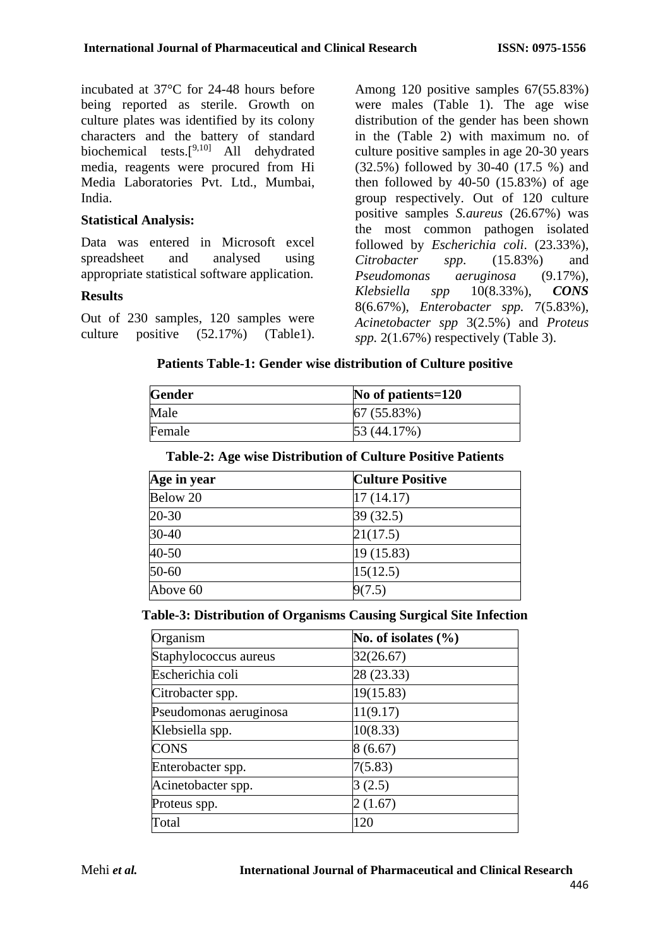incubated at 37°C for 24-48 hours before being reported as sterile. Growth on culture plates was identified by its colony characters and the battery of standard biochemical tests.<sup>[9,10]</sup> All dehydrated media, reagents were procured from Hi Media Laboratories Pvt. Ltd., Mumbai, India.

#### **Statistical Analysis:**

Data was entered in Microsoft excel spreadsheet and analysed using appropriate statistical software application.

#### **Results**

Out of 230 samples, 120 samples were culture positive (52.17%) (Table1). Among 120 positive samples 67(55.83%) were males (Table 1). The age wise distribution of the gender has been shown in the (Table 2) with maximum no. of culture positive samples in age 20-30 years (32.5%) followed by 30-40 (17.5 %) and then followed by  $40-50$   $(15.83\%)$  of age group respectively. Out of 120 culture positive samples *S.aureus* (26.67%) was the most common pathogen isolated followed by *Escherichia coli*. (23.33%), *Citrobacter spp*. (15.83%) and *Pseudomonas aeruginosa* (9.17%), *Klebsiella spp* 10(8.33%), *CONS* 8(6.67%), *Enterobacter spp.* 7(5.83%), *Acinetobacter spp* 3(2.5%) and *Proteus spp.* 2(1.67%) respectively (Table 3).

#### **Patients Table-1: Gender wise distribution of Culture positive**

| <b>Gender</b> | No of patients=120 |
|---------------|--------------------|
| Male          | 67(55.83%)         |
| Female        | 53(44.17%)         |

#### **Table-2: Age wise Distribution of Culture Positive Patients**

| Age in year | <b>Culture Positive</b> |
|-------------|-------------------------|
| Below 20    | 17(14.17)               |
| $20 - 30$   | 39(32.5)                |
| $30-40$     | 21(17.5)                |
| $40 - 50$   | 19(15.83)               |
| $50-60$     | 15(12.5)                |
| Above 60    | 9(7.5)                  |

#### **Table-3: Distribution of Organisms Causing Surgical Site Infection**

| Organism               | No. of isolates $(\% )$ |
|------------------------|-------------------------|
| Staphylococcus aureus  | 32(26.67)               |
| Escherichia coli       | 28 (23.33)              |
| Citrobacter spp.       | 19(15.83)               |
| Pseudomonas aeruginosa | 11(9.17)                |
| Klebsiella spp.        | 10(8.33)                |
| <b>CONS</b>            | 8(6.67)                 |
| Enterobacter spp.      | 7(5.83)                 |
| Acinetobacter spp.     | 3(2.5)                  |
| Proteus spp.           | 2(1.67)                 |
| Total                  | 120                     |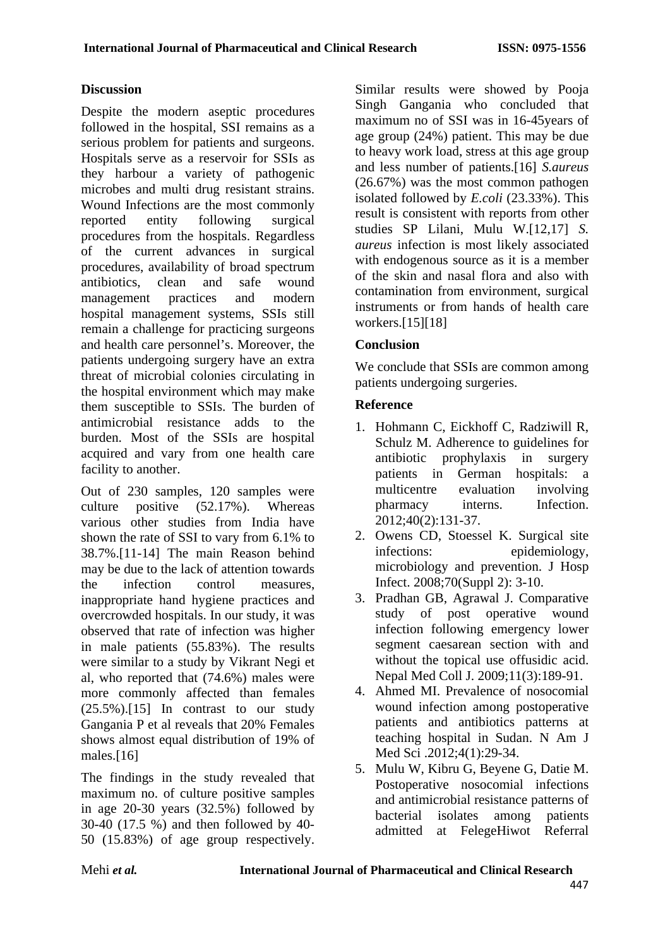# **Discussion**

Despite the modern aseptic procedures followed in the hospital, SSI remains as a serious problem for patients and surgeons. Hospitals serve as a reservoir for SSIs as they harbour a variety of pathogenic microbes and multi drug resistant strains. Wound Infections are the most commonly reported entity following surgical procedures from the hospitals. Regardless of the current advances in surgical procedures, availability of broad spectrum antibiotics, clean and safe wound management practices and modern hospital management systems, SSIs still remain a challenge for practicing surgeons and health care personnel's. Moreover, the patients undergoing surgery have an extra threat of microbial colonies circulating in the hospital environment which may make them susceptible to SSIs. The burden of antimicrobial resistance adds to the burden. Most of the SSIs are hospital acquired and vary from one health care facility to another.

Out of 230 samples, 120 samples were culture positive (52.17%). Whereas various other studies from India have shown the rate of SSI to vary from 6.1% to 38.7%.[11-14] The main Reason behind may be due to the lack of attention towards the infection control measures, inappropriate hand hygiene practices and overcrowded hospitals. In our study, it was observed that rate of infection was higher in male patients (55.83%). The results were similar to a study by Vikrant Negi et al, who reported that (74.6%) males were more commonly affected than females (25.5%).[15] In contrast to our study Gangania P et al reveals that 20% Females shows almost equal distribution of 19% of males.[16]

The findings in the study revealed that maximum no. of culture positive samples in age 20-30 years  $(32.5\%)$  followed by 30-40 (17.5 %) and then followed by 40- 50 (15.83%) of age group respectively.

Similar results were showed by Pooja Singh Gangania who concluded that maximum no of SSI was in 16-45years of age group (24%) patient. This may be due to heavy work load, stress at this age group and less number of patients.[16] *S.aureus*  (26.67%) was the most common pathogen isolated followed by *E.coli* (23.33%). This result is consistent with reports from other studies SP Lilani, Mulu W.[12,17] *S. aureus* infection is most likely associated with endogenous source as it is a member of the skin and nasal flora and also with contamination from environment, surgical instruments or from hands of health care workers.[15][18]

# **Conclusion**

We conclude that SSIs are common among patients undergoing surgeries.

### **Reference**

- 1. Hohmann C, Eickhoff C, Radziwill R, Schulz M. Adherence to guidelines for antibiotic prophylaxis in surgery patients in German hospitals: a multicentre evaluation involving pharmacy interns. Infection. 2012;40(2):131-37.
- 2. Owens CD, Stoessel K. Surgical site infections: epidemiology, microbiology and prevention. J Hosp Infect. 2008;70(Suppl 2): 3-10.
- 3. Pradhan GB, Agrawal J. Comparative study of post operative wound infection following emergency lower segment caesarean section with and without the topical use offusidic acid. Nepal Med Coll J. 2009;11(3):189-91.
- 4. Ahmed MI. Prevalence of nosocomial wound infection among postoperative patients and antibiotics patterns at teaching hospital in Sudan. N Am J Med Sci .2012;4(1):29-34.
- 5. Mulu W, Kibru G, Beyene G, Datie M. Postoperative nosocomial infections and antimicrobial resistance patterns of bacterial isolates among patients admitted at FelegeHiwot Referral